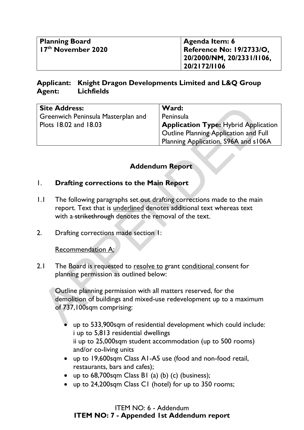| Planning Board<br>$\sqrt{17^{th}}$ November 2020 | Agenda Item: 6<br><b>Reference No: 19/2733/O,</b><br>$120/2000/NM$ , 20/2331/1106.<br>20/2172/1106 |
|--------------------------------------------------|----------------------------------------------------------------------------------------------------|
|                                                  |                                                                                                    |

### **Applicant: Knight Dragon Developments Limited and L&Q Group Agent: Lichfields**

|                       | <b>Site Address:</b><br>Greenwich Peninsula Masterplan and                                                                    | Ward:<br>Peninsula                                                                                                           |  |
|-----------------------|-------------------------------------------------------------------------------------------------------------------------------|------------------------------------------------------------------------------------------------------------------------------|--|
| Plots 18.02 and 18.03 |                                                                                                                               | <b>Application Type: Hybrid Application</b><br>Outline Planning Application and Full<br>Planning Application, S96A and s106A |  |
|                       |                                                                                                                               | <b>Addendum Report</b>                                                                                                       |  |
| $\mathsf{I}$ .        | <b>Drafting corrections to the Main Report</b>                                                                                |                                                                                                                              |  |
| $\mathsf{L}$          | report. Text that is underlined denotes additional text whereas text<br>with a strikethrough denotes the removal of the text. | The following paragraphs set out drafting corrections made to the main                                                       |  |
| 2.                    | Drafting corrections made section 1:                                                                                          |                                                                                                                              |  |
|                       | Recommendation A:                                                                                                             |                                                                                                                              |  |
| 2.1                   | The Board is requested to resolve to grant conditional consent for<br>planning permission as outlined below:                  |                                                                                                                              |  |
|                       | Outline planning permission with all matters reserved, for the<br>of 737,100sqm comprising:                                   | demolition of buildings and mixed-use redevelopment up to a maximum                                                          |  |
|                       |                                                                                                                               | up to 533.900sqm of residential development which could include:                                                             |  |

## **Addendum Report**

### 1. **Drafting corrections to the Main Report**

- 1.1 The following paragraphs set out drafting corrections made to the main report. Text that is underlined denotes additional text whereas text with a strikethrough denotes the removal of the text.
- 2. Drafting corrections made section 1:

- up to 533,900sqm of residential development which could include: i up to 5,813 residential dwellings ii up to 25,000sqm student accommodation (up to 500 rooms) and/or co-living units
- up to 19,600sqm Class A1-A5 use (food and non-food retail, restaurants, bars and cafes);
- up to 68,700sqm Class B1 (a) (b) (c) (business);
- up to 24,200sqm Class C1 (hotel) for up to 350 rooms;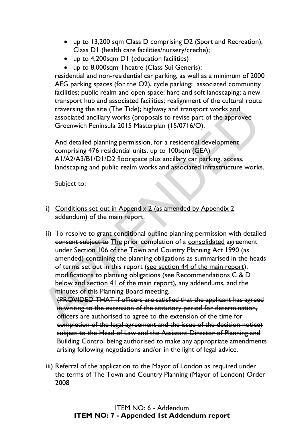- up to 13,200 sqm Class D comprising D2 (Sport and Recreation), Class D1 (health care facilities/nursery/creche);
- up to 4.200sqm D1 (education facilities)
- up to 8,000sqm Theatre (Class Sui Generis);

residential and non-residential car parking, as well as a minimum of 2000 AEG parking spaces (for the O2), cycle parking; associated community facilities; public realm and open space; hard and soft landscaping; a new transport hub and associated facilities; realignment of the cultural route traversing the site (The Tide); highway and transport works and associated ancillary works (proposals to revise part of the approved Greenwich Peninsula 2015 Masterplan (15/0716/O).

And detailed planning permission, for a residential development comprising 476 residential units, up to 100sqm (GEA) A1/A2/A3/B1/D1/D2 floorspace plus ancillary car parking, access, landscaping and public realm works and associated infrastructure works.

Subject to:

i) Conditions set out in Appendix 2 (as amended by Appendix 2 addendum) of the main report.

ii) To resolve to grant conditional outline planning permission with detailed consent subject to The prior completion of a consolidated agreement under Section 106 of the Town and Country Planning Act 1990 (as amended) containing the planning obligations as summarised in the heads of terms set out in this report (see section 44 of the main report), modifications to planning obligations (see Recommendations C & D below and section 41 of the main report), any addendums, and the minutes of this Planning Board meeting. traversing the site (The Tide); highway and transport works and<br>associated ancillary works (proposals to revise part of the approved<br>Greenwich Peninsula 2015 Masterplan (15/0716/O).<br>And detailed planning permission, for a

(PROVIDED THAT if officers are satisfied that the applicant has agreed in writing to the extension of the statutory period for determination, officers are authorised to agree to the extension of the time for completion of the legal agreement and the issue of the decision notice) subject to the Head of Law and the Assistant Director of Planning and Building Control being authorised to make any appropriate amendments arising following negotiations and/or in the light of legal advice.

iii) Referral of the application to the Mayor of London as required under the terms of The Town and Country Planning (Mayor of London) Order 2008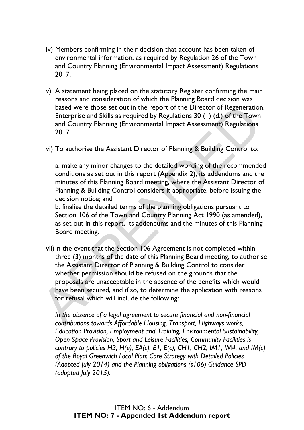- iv) Members confirming in their decision that account has been taken of environmental information, as required by Regulation 26 of the Town and Country Planning (Environmental Impact Assessment) Regulations 2017.
- v) A statement being placed on the statutory Register confirming the main reasons and consideration of which the Planning Board decision was based were those set out in the report of the Director of Regeneration, Enterprise and Skills as required by Regulations 30 (1) (d.) of the Town and Country Planning (Environmental Impact Assessment) Regulations 2017.
- vi) To authorise the Assistant Director of Planning & Building Control to:

a. make any minor changes to the detailed wording of the recommended conditions as set out in this report (Appendix 2), its addendums and the minutes of this Planning Board meeting, where the Assistant Director of Planning & Building Control considers it appropriate, before issuing the decision notice; and

b. finalise the detailed terms of the planning obligations pursuant to Section 106 of the Town and Country Planning Act 1990 (as amended), as set out in this report, its addendums and the minutes of this Planning Board meeting.

vii) In the event that the Section 106 Agreement is not completed within three (3) months of the date of this Planning Board meeting, to authorise the Assistant Director of Planning & Building Control to consider whether permission should be refused on the grounds that the proposals are unacceptable in the absence of the benefits which would have been secured, and if so, to determine the application with reasons for refusal which will include the following: based were those set out in the report of the Director of Regeneration<br>Enterprise and Skills as required by Regulations 30 (1) (d.) of the Town<br>and Country Planning (Environmental Impact Assessment) Regulations<br>2017.<br>Vi) T

*In the absence of a legal agreement to secure financial and non-financial contributions towards Affordable Housing, Transport, Highways works, Education Provision, Employment and Training, Environmental Sustainability, Open Space Provision, Sport and Leisure Facilities, Community Facilities is contrary to policies H3, H(e), EA(c), E1, E(c), CH1, CH2, IM1, IM4, and IM(c) of the Royal Greenwich Local Plan: Core Strategy with Detailed Policies (Adopted July 2014) and the Planning obligations (s106) Guidance SPD (adopted July 2015).*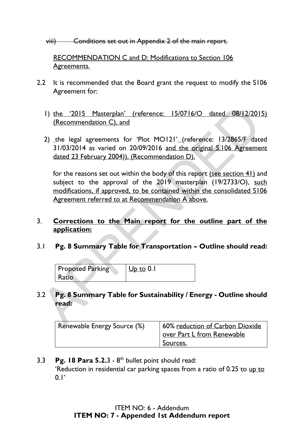viii) Conditions set out in Appendix 2 of the main report.

 RECOMMENDATION C and D: Modifications to Section 106 Agreements.

- 2.2 It is recommended that the Board grant the request to modify the S106 Agreement for:
	- 1) the '2015 Masterplan' (reference: 15/0716/O dated 08/12/2015) (Recommendation C), and
	- 2) the legal agreements for 'Plot MO121' (reference: 13/2865/F dated 31/03/2014 as varied on 20/09/2016 and the original S.106 Agreement dated 23 February 2004)). (Recommendation D).

for the reasons set out within the body of this report (see section 41) and subject to the approval of the 2019 masterplan (19/2733/O), such modifications, if approved, to be contained within the consolidated S106 Agreement referred to at Recommendation A above. 1) the <u>2015</u> Masterplan' (reference: 15/0716/O dated 08/12/201<br>
(Recommendation C), and<br>
2) the legal agreements for 'Plot MO121' (reference: 13/2865/F dat<br>
31/03/2014 as varied on 20/09/2016 and the original \$.106 Agree

### 3. **Corrections to the Main report for the outline part of the application:**

3.1 **Pg. 8 Summary Table for Transportation – Outline should read:** 

| <b>Proposed Parking</b> | $Up$ to 0.1 |
|-------------------------|-------------|
| Ratio                   |             |

## 3.2 **Pg. 8 Summary Table for Sustainability / Energy - Outline should read:**

| Renewable Energy Source (%) | 60% reduction of Carbon Dioxide |
|-----------------------------|---------------------------------|
|                             | over Part L from Renewable      |
|                             | Sources.                        |

## 3.3 **Pg. 18 Para 5.2.**3 - 8<sup>th</sup> bullet point should read: 'Reduction in residential car parking spaces from a ratio of 0.25 to up to  $0.1'$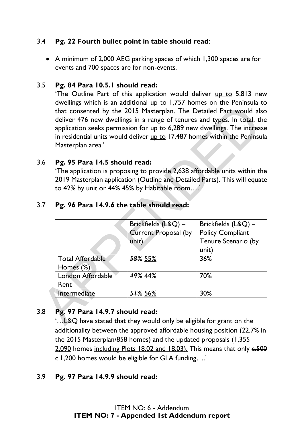## 3.4 **Pg. 22 Fourth bullet point in table should read**:

• A minimum of 2,000 AEG parking spaces of which 1,300 spaces are for events and 700 spaces are for non-events.

### 3.5 **Pg. 84 Para 10.5.1 should read:**

'The Outline Part of this application would deliver up to 5,813 new dwellings which is an additional up to 1,757 homes on the Peninsula to that consented by the 2015 Masterplan. The Detailed Part would also deliver 476 new dwellings in a range of tenures and types. In total, the application seeks permission for  $up$  to  $6,289$  new dwellings. The increase in residential units would deliver up to 17,487 homes within the Peninsula Masterplan area.'

### 3.6 **Pg. 95 Para 14.5 should read:**

| Masterplan area.'             | deliver 476 new dwellings in a range of tenures and types. In total, the<br>application seeks permission for up to 6,289 new dwellings. The increase<br>in residential units would deliver up to 17,487 homes within the Peninsula | that consented by the 2015 Masterplan. The Detailed Part would also |
|-------------------------------|------------------------------------------------------------------------------------------------------------------------------------------------------------------------------------------------------------------------------------|---------------------------------------------------------------------|
| Pg. 95 Para 14.5 should read: | 'The application is proposing to provide 2,638 affordable units within the<br>2019 Masterplan application (Outline and Detailed Parts). This will equate<br>to 42% by unit or $44\%$ $45\%$ by Habitable room'                     |                                                                     |
|                               | Pg. 96 Para 14.9.6 the table should read:                                                                                                                                                                                          |                                                                     |
|                               |                                                                                                                                                                                                                                    |                                                                     |
|                               | Brickfields (L&Q) -                                                                                                                                                                                                                | Brickfields (L&Q) -                                                 |
|                               | <b>Current Proposal (by</b>                                                                                                                                                                                                        | <b>Policy Compliant</b>                                             |
|                               | unit)                                                                                                                                                                                                                              | Tenure Scenario (by<br>unit)                                        |
| <b>Total Affordable</b>       | 58% 55%                                                                                                                                                                                                                            | 36%                                                                 |
| Homes (%)                     |                                                                                                                                                                                                                                    |                                                                     |
| London Affordable<br>Rent     | 49% 44%                                                                                                                                                                                                                            | 70%                                                                 |

#### 3.7 **Pg. 96 Para 14.9.6 the table should read:**

## 3.8 **Pg. 97 Para 14.9.7 should read:**

'…L&Q have stated that they would only be eligible for grant on the additionality between the approved affordable housing position (22.7% in the 2015 Masterplan/858 homes) and the updated proposals  $(1,355)$ 2,090 homes including Plots 18.02 and 18.03). This means that only  $6.500$ c.1,200 homes would be eligible for GLA funding….'

### 3.9 **Pg. 97 Para 14.9.9 should read:**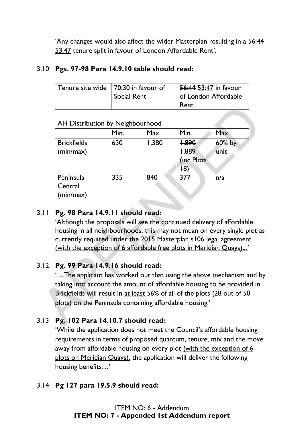'Any changes would also affect the wider Masterplan resulting in a 56:44 53:47 tenure split in favour of London Affordable Rent'.

## 3.10 **Pgs. 97-98 Para 14.9.10 table should read:**

| Tenure site wide   70:30 in favour of<br>Social Rent | 56:44 53:47 in favour<br>of London Affordable<br>Rent |
|------------------------------------------------------|-------------------------------------------------------|
|------------------------------------------------------|-------------------------------------------------------|

|                                                                                                                                                                                                                    |      |       | Rent       |        |
|--------------------------------------------------------------------------------------------------------------------------------------------------------------------------------------------------------------------|------|-------|------------|--------|
|                                                                                                                                                                                                                    |      |       |            |        |
| AH Distribution by Neighbourhood                                                                                                                                                                                   |      |       |            |        |
|                                                                                                                                                                                                                    | Min. | Max.  | Min.       | Max.   |
| <b>Brickfields</b>                                                                                                                                                                                                 | 630  | 1,380 | $+890$     | 60% by |
| (min/max)                                                                                                                                                                                                          |      |       | 1,889      | unit   |
|                                                                                                                                                                                                                    |      |       | (inc Plots |        |
|                                                                                                                                                                                                                    |      |       | 8)         |        |
| Peninsula                                                                                                                                                                                                          | 335  | 840   | 377        | n/a    |
| Central                                                                                                                                                                                                            |      |       |            |        |
| (min/max)                                                                                                                                                                                                          |      |       |            |        |
| Pg. 98 Para 14.9.11 should read:<br>'Although the proposals will see the continued delivery of affordable                                                                                                          |      |       |            |        |
| housing in all neighbourhoods, this may not mean on every single plot a<br>currently required under the 2015 Masterplan s106 legal agreement<br>(with the exception of 6 affordable free plots in Meridian Quays)' |      |       |            |        |
| Pg. 99 Para 14.9.16 should read:<br>'The applicant has worked out that using the above mechanism and b                                                                                                             |      |       |            |        |
| taking into account the amount of affordable housing to be provided in                                                                                                                                             |      |       |            |        |
|                                                                                                                                                                                                                    |      |       |            |        |
| Brickfields will result in at least 56% of all of the plots (28 out of 50<br>plots) on the Peninsula containing affordable housing.'                                                                               |      |       |            |        |

## 3.11 **Pg. 98 Para 14.9.11 should read:**

### 3.12 **Pg. 99 Para 14.9.16 should read:**

## 3.13 **Pg. 102 Para 14.10.7 should read:**

'While the application does not meet the Council's affordable housing requirements in terms of proposed quantum, tenure, mix and the move away from affordable housing on every plot (with the exception of 6 plots on Meridian Quays), the application will deliver the following housing benefits…'

### 3.14 **Pg 127 para 19.5.9 should read:**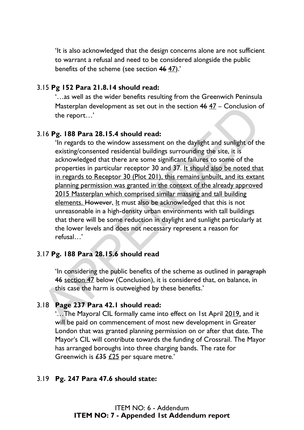'It is also acknowledged that the design concerns alone are not sufficient to warrant a refusal and need to be considered alongside the public benefits of the scheme (see section 46 47).'

### 3.15 **Pg 152 Para 21.8.14 should read:**

'…as well as the wider benefits resulting from the Greenwich Peninsula Masterplan development as set out in the section  $46$   $47$  – Conclusion of the report…'

### 3.16 **Pg. 188 Para 28.15.4 should read:**

'In regards to the window assessment on the daylight and sunlight of the existing/consented residential buildings surrounding the site, it is acknowledged that there are some significant failures to some of the properties in particular receptor 30 and 37. It should also be noted that in regards to Receptor 30 (Plot 201), this remains unbuilt, and its extant planning permission was granted in the context of the already approved 2015 Masterplan which comprised similar massing and tall building elements. However, It must also be acknowledged that this is not unreasonable in a high-density urban environments with tall buildings that there will be some reduction in daylight and sunlight particularly at the lower levels and does not necessary represent a reason for refusal…' Masterplan development as set out in the section 46 47 – Conclusion of<br>the report...'<br>
Al.16 **Pg. 188 Para 28.15.4 should read:**<br>
"In regards to the window assessment on the daylight and sunlight of the<br>
existing/consente

### 3.17 **Pg. 188 Para 28.15.6 should read**

'In considering the public benefits of the scheme as outlined in paragraph 46 section 47 below (Conclusion), it is considered that, on balance, in this case the harm is outweighed by these benefits.'

### 3.18 **Page 237 Para 42.1 should read:**

'…The Mayoral CIL formally came into effect on 1st April 2019, and it will be paid on commencement of most new development in Greater London that was granted planning permission on or after that date. The Mayor's CIL will contribute towards the funding of Crossrail. The Mayor has arranged boroughs into three charging bands. The rate for Greenwich is  $\angle 435 \angle 225$  per square metre.'

#### 3.19 **Pg. 247 Para 47.6 should state:**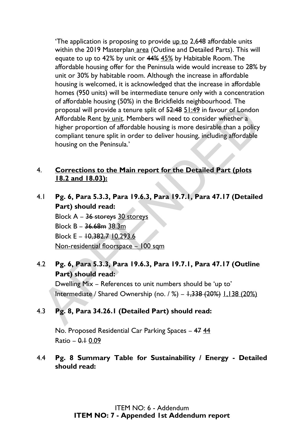The application is proposing to provide up to 2,648 affordable units within the 2019 Masterplan area (Outline and Detailed Parts). This will equate to up to 42% by unit or 44% 45% by Habitable Room. The affordable housing offer for the Peninsula wide would increase to 28% by unit or 30% by habitable room. Although the increase in affordable housing is welcomed, it is acknowledged that the increase in affordable homes (950 units) will be intermediate tenure only with a concentration of affordable housing (50%) in the Brickfields neighbourhood. The proposal will provide a tenure split of 52:48 51:49 in favour of London Affordable Rent by unit. Members will need to consider whether a higher proportion of affordable housing is more desirable than a policy compliant tenure split in order to deliver housing, including affordable housing on the Peninsula.' proposal will provide a tenure split of 52:48 51:49 in favour of London<br>Affordable Rent by unit. Members will need to consider whether a<br>higher proportion of affordable housing is more desirable than a policy<br>compliant te

### 4. **Corrections to the Main report for the Detailed Part (plots 18.2 and 18.03):**

4.1 **Pg. 6, Para 5.3.3, Para 19.6.3, Para 19.7.1, Para 47.17 (Detailed Part) should read:** 

Block A - 36 storeys 30 storeys Block B – 36.68m 38.3m Block E – 10,382.7 10,293.6 Non-residential floorspace – 100 sqm

# 4.2 **Pg. 6, Para 5.3.3, Para 19.6.3, Para 19.7.1, Para 47.17 (Outline Part) should read:**

Dwelling Mix – References to unit numbers should be 'up to' Intermediate / Shared Ownership (no.  $/$ %) –  $1,338$  (20%) 1,138 (20%)

## 4.3 **Pg. 8, Para 34.26.1 (Detailed Part) should read:**

No. Proposed Residential Car Parking Spaces – 47 44  $Ratio - 0.1 0.09$ 

## 4.4 **Pg. 8 Summary Table for Sustainability / Energy - Detailed should read:**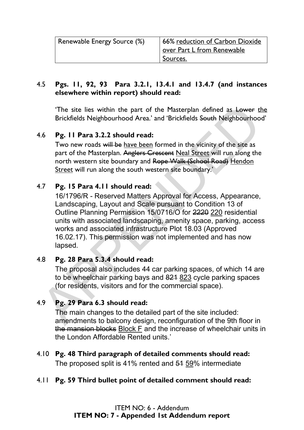| Renewable Energy Source (%) | 66% reduction of Carbon Dioxide |
|-----------------------------|---------------------------------|
|                             | over Part L from Renewable      |
|                             | Sources.                        |

### 4.5 **Pgs. 11, 92, 93 Para 3.2.1, 13.4.1 and 13.4.7 (and instances elsewhere within report) should read:**

The site lies within the part of the Masterplan defined as Lower the Brickfields Neighbourhood Area.' and 'Brickfields South Neighbourhood'

# 4.6 **Pg. 11 Para 3.2.2 should read:**

Two new roads will be have been formed in the vicinity of the site as part of the Masterplan. Anglers Crescent Neal Street will run along the north western site boundary and Rope Walk (School Road) Hendon Street will run along the south western site boundary.'

# 4.7 **Pg. 15 Para 4.11 should read:**

16/1796/R - Reserved Matters Approval for Access, Appearance, Landscaping, Layout and Scale pursuant to Condition 13 of Outline Planning Permission 15/0716/O for 2220 220 residential units with associated landscaping, amenity space, parking, access works and associated infrastructure Plot 18.03 (Approved 16.02.17). This permission was not implemented and has now lapsed. The site lies within the part of the Masterplan defined as Lower the Brickfields Neighbourhood Area.' and 'Brickfields South Neighbourhood<br>
1.6 **Pg. 11 Para 3.2.2 should read:**<br>
Two new roads will be have been formed in t

## 4.8 **Pg. 28 Para 5.3.4 should read:**

The proposal also includes 44 car parking spaces, of which 14 are to be wheelchair parking bays and 821 823 cycle parking spaces (for residents, visitors and for the commercial space).

# 4.9 **Pg. 29 Para 6.3 should read:**

The main changes to the detailed part of the site included: amendments to balcony design, reconfiguration of the 9th floor in the mansion blocks Block F and the increase of wheelchair units in the London Affordable Rented units.'

# 4.10 **Pg. 48 Third paragraph of detailed comments should read:**  The proposed split is 41% rented and 51 59% intermediate

# 4.11 **Pg. 59 Third bullet point of detailed comment should read:**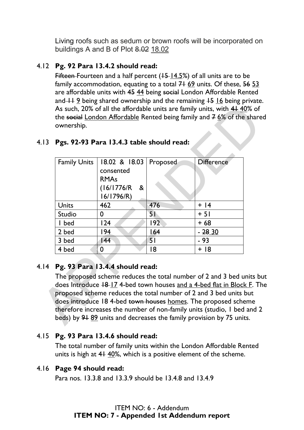Living roofs such as sedum or brown roofs will be incorporated on buildings A and B of Plot 8.02 18.02

## 4.12 **Pg. 92 Para 13.4.2 should read:**

Fifteen-Fourteen and a half percent ( $+5$ -14.5%) of all units are to be family accommodation, equating to a total  $7+69$  units. Of these,  $5653$ are affordable units with 45 44 being social London Affordable Rented and  $+1$  9 being shared ownership and the remaining  $+5$  16 being private. As such, 20% of all the affordable units are family units, with 4140% of the social London Affordable Rented being family and  $76\%$  of the shared ownership.

| <b>Family Units</b> | 18.02 & 18.03<br>consented<br><b>RMAs</b><br>(16/1776/R)<br>&                                                                                                                                                                                         | Proposed | <b>Difference</b> |
|---------------------|-------------------------------------------------------------------------------------------------------------------------------------------------------------------------------------------------------------------------------------------------------|----------|-------------------|
| Units               | 16/1796/R)<br>462                                                                                                                                                                                                                                     | 476      | $+$  4            |
| Studio              | 0                                                                                                                                                                                                                                                     | 51       | $+51$             |
| I bed               | 124                                                                                                                                                                                                                                                   | 192      | $+68$             |
| 2 bed               | 194                                                                                                                                                                                                                                                   | 164      | $-2830$           |
| 3 bed               | 144                                                                                                                                                                                                                                                   | 51       | - 93              |
| 4 bed               | $\mathbf 0$                                                                                                                                                                                                                                           | 18       | $+$ 18            |
|                     | Pg. 93 Para 13.4.4 should read:<br>The proposed scheme reduces the total number of 2 and 3 bed units b<br>does Introduce 18-17 4-bed town houses and a 4-bed flat in Block F. TI<br>proposed scheme reduces the total number of 2 and 3 bed units but |          |                   |

### 4.13 **Pgs. 92-93 Para 13.4.3 table should read:**

### 4.14 **Pg. 93 Para 13.4.4 should read:**

#### 4.15 **Pg. 93 Para 13.4.6 should read:**

The total number of family units within the London Affordable Rented units is high at 41 40%, which is a positive element of the scheme.

#### 4.16 **Page 94 should read:**

Para nos. 13.3.8 and 13.3.9 should be 13.4.8 and 13.4.9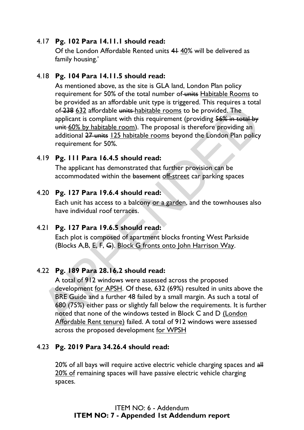### 4.17 **Pg. 102 Para 14.11.1 should read:**

Of the London Affordable Rented units 41 40% will be delivered as family housing.'

### 4.18 **Pg. 104 Para 14.11.5 should read:**

As mentioned above, as the site is GLA land, London Plan policy requirement for 50% of the total number of units Habitable Rooms to be provided as an affordable unit type is triggered. This requires a total of 238 632 affordable units habitable rooms to be provided. The applicant is compliant with this requirement (providing 56% in total by unit 60% by habitable room). The proposal is therefore providing an additional 27 units 125 habitable rooms beyond the London Plan policy requirement for 50%.

### 4.19 **Pg. 111 Para 16.4.5 should read:**

The applicant has demonstrated that further provision can be accommodated within the basement off-street car parking spaces

### 4.20 **Pg. 127 Para 19.6.4 should read:**

Each unit has access to a balcony or a garden, and the townhouses also have individual roof terraces.

### 4.21 **Pg. 127 Para 19.6.5 should read:**

Each plot is composed of apartment blocks fronting West Parkside (Blocks A,B, E, F, G). Block G fronts onto John Harrison Way.

### 4.22 **Pg. 189 Para 28.16.2 should read:**

A total of 912 windows were assessed across the proposed development for APSH. Of these, 632 (69%) resulted in units above the BRE Guide and a further 48 failed by a small margin. As such a total of 680 (75%) either pass or slightly fall below the requirements. It is further noted that none of the windows tested in Block C and D (London Affordable Rent tenure) failed. A total of 912 windows were assessed across the proposed development for WPSH of 238 632 affordable intis-habitable rooms to be provided. The<br>applicant is compliant with this requirement (providing 56% in texts)<br>unit-60% by habitable rooms to be provided. The<br>applicant is compliant with this require

### 4.23 **Pg. 2019 Para 34.26.4 should read:**

20% of all bays will require active electric vehicle charging spaces and all 20% of remaining spaces will have passive electric vehicle charging spaces.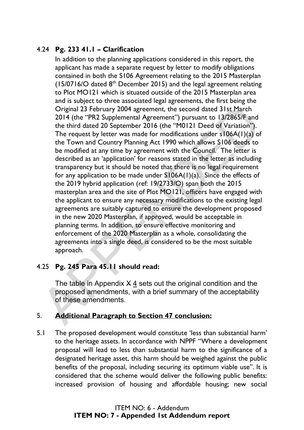# 4.24 **Pg. 233 41.1 – Clarification**

In addition to the planning applications considered in this report, the applicant has made a separate request by letter to modify obligations contained in both the S106 Agreement relating to the 2015 Masterplan  $(15/0716/O$  dated  $8<sup>th</sup>$  December 2015) and the legal agreement relating to Plot MO121 which is situated outside of the 2015 Masterplan area and is subject to three associated legal agreements, the first being the Original 23 February 2004 agreement, the second dated 31st March 2014 (the "PR2 Supplemental Agreement") pursuant to 13/2865/F and the third dated 20 September 2016 (the "M0121 Deed of Variation"). The request by letter was made for modifications under s106A(1)(a) of the Town and Country Planning Act 1990 which allows S106 deeds to be modified at any time by agreement with the Council. The letter is described as an 'application' for reasons stated in the letter as including transparency but it should be noted that there is no legal requirement for any application to be made under  $SI06A(1)(a)$ . Since the effects of the 2019 hybrid application (ref: 19/2733/O) span both the 2015 masterplan area and the site of Plot MO121, officers have engaged with the applicant to ensure any necessary modifications to the existing legal agreements are suitably captured to ensure the development proposed in the new 2020 Masterplan, if approved, would be acceptable in planning terms. In addition, to ensure effective monitoring and enforcement of the 2020 Masterplan as a whole, consolidating the agreements into a single deed, is considered to be the most suitable approach. Original 23 February 2004 agreement, the second dated 31st March<br>2014 (the "PR2 Supplemental Agreement") pursuant to 13/2865/F and<br>the third dated 20 September 2016 (the "M0121 Deed of Variation").<br>The request by letter w

## 4.25 **Pg. 245 Para 45.11 should read:**

The table in Appendix  $X$  4 sets out the original condition and the proposed amendments, with a brief summary of the acceptability of these amendments.

## 5. **Additional Paragraph to Section 47 conclusion:**

5.1 The proposed development would constitute 'less than substantial harm' to the heritage assets. In accordance with NPPF "Where a development proposal will lead to less than substantial harm to the significance of a designated heritage asset, this harm should be weighed against the public benefits of the proposal, including securing its optimum viable use". It is considered that the scheme would deliver the following public benefits: increased provision of housing and affordable housing; new social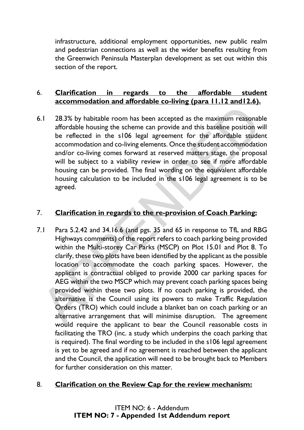infrastructure, additional employment opportunities, new public realm and pedestrian connections as well as the wider benefits resulting from the Greenwich Peninsula Masterplan development as set out within this section of the report.

## 6. **Clarification in regards to the affordable student accommodation and affordable co-living (para 11.12 and12.6).**

6.1 28.3% by habitable room has been accepted as the maximum reasonable affordable housing the scheme can provide and this baseline position will be reflected in the s106 legal agreement for the affordable student accommodation and co-living elements. Once the student accommodation and/or co-living comes forward at reserved matters stage, the proposal will be subject to a viability review in order to see if more affordable housing can be provided. The final wording on the equivalent affordable housing calculation to be included in the s106 legal agreement is to be agreed.

### 7. **Clarification in regards to the re-provision of Coach Parking:**

7.1 Para 5.2.42 and 34.16.6 (and pgs. 35 and 65 in response to TfL and RBG Highways comments) of the report refers to coach parking being provided within the Multi-storey Car Parks (MSCP) on Plot 15.01 and Plot 8. To clarify, these two plots have been identified by the applicant as the possible location to accommodate the coach parking spaces. However, the applicant is contractual obliged to provide 2000 car parking spaces for AEG within the two MSCP which may prevent coach parking spaces being provided within these two plots. If no coach parking is provided, the alternative is the Council using its powers to make Traffic Regulation Orders (TRO) which could include a blanket ban on coach parking or an alternative arrangement that will minimise disruption. The agreement would require the applicant to bear the Council reasonable costs in facilitating the TRO (inc. a study which underpins the coach parking that is required). The final wording to be included in the s106 legal agreement is yet to be agreed and if no agreement is reached between the applicant and the Council, the application will need to be brought back to Members for further consideration on this matter. 3.1 28.3% by habitable room has been accepted as the maximum reasonal affordable housing the scheme can provide and this baseline position whe reflected in the  $\approx 106$  legal agreement for the affordable stude accommodati

### 8. **Clarification on the Review Cap for the review mechanism:**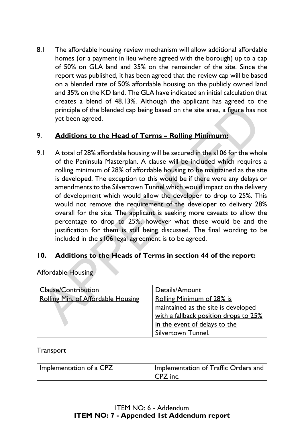8.1 The affordable housing review mechanism will allow additional affordable homes (or a payment in lieu where agreed with the borough) up to a cap of 50% on GLA land and 35% on the remainder of the site. Since the report was published, it has been agreed that the review cap will be based on a blended rate of 50% affordable housing on the publicly owned land and 35% on the KD land. The GLA have indicated an initial calculation that creates a blend of 48.13%. Although the applicant has agreed to the principle of the blended cap being based on the site area, a figure has not yet been agreed.

## 9. **Additions to the Head of Terms – Rolling Minimum:**

9.1 A total of 28% affordable housing will be secured in the s106 for the whole of the Peninsula Masterplan. A clause will be included which requires a rolling minimum of 28% of affordable housing to be maintained as the site is developed. The exception to this would be if there were any delays or amendments to the Silvertown Tunnel which would impact on the delivery of development which would allow the developer to drop to 25%. This would not remove the requirement of the developer to delivery 28% overall for the site. The applicant is seeking more caveats to allow the percentage to drop to 25%, however what these would be and the justification for them is still being discussed. The final wording to be included in the s106 legal agreement is to be agreed. principle of the blended cap being based on the site area, a figure has n<br>yet been agreed.<br>
Additions to the Head of Terms – Rolling Minimum:<br>
A total of 28% affordable housing will be secured in the s106 for the who<br>
of

### **10. Additions to the Heads of Terms in section 44 of the report:**

Affordable Housing

| Clause/Contribution                | Details/Amount                        |
|------------------------------------|---------------------------------------|
| Rolling Min. of Affordable Housing | <b>Rolling Minimum of 28% is</b>      |
|                                    | maintained as the site is developed   |
|                                    | with a fallback position drops to 25% |
|                                    | in the event of delays to the         |
|                                    | Silvertown Tunnel.                    |

#### **Transport**

| Implementation of a CPZ | Implementation of Traffic Orders and |
|-------------------------|--------------------------------------|
|                         | CPZ inc.                             |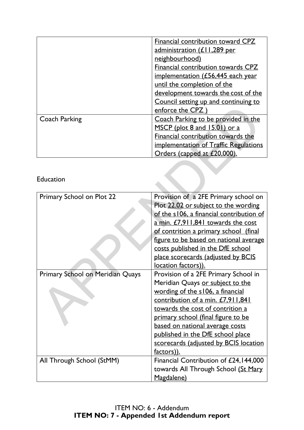|                      | Financial contribution toward CPZ                   |
|----------------------|-----------------------------------------------------|
|                      | administration (£11,289 per                         |
|                      | neighbourhood)                                      |
|                      | Financial contribution towards CPZ                  |
|                      | implementation $(E56,445)$ each year                |
|                      | until the completion of the                         |
|                      | development towards the cost of the                 |
|                      | Council setting up and continuing to                |
|                      | enforce the CPZ                                     |
| <b>Coach Parking</b> | Coach Parking to be provided in the                 |
|                      | MSCP (plot 8 and 15.01) or a                        |
|                      | Financial contribution towards the                  |
|                      | <u><b>implementation of Traffic Regulations</b></u> |
|                      | Orders (capped at £20,000).                         |

## Education

|                                  | enforce the CPZ)                         |
|----------------------------------|------------------------------------------|
| Coach Parking                    | Coach Parking to be provided in the      |
|                                  | MSCP (plot 8 and 15.01) or a             |
|                                  | Financial contribution towards the       |
|                                  | implementation of Traffic Regulations    |
|                                  | Orders (capped at £20,000).              |
|                                  |                                          |
|                                  |                                          |
| <b>Education</b>                 |                                          |
|                                  |                                          |
| Primary School on Plot 22        | Provision of a 2FE Primary school on     |
|                                  | Plot 22.02 or subject to the wording     |
|                                  | of the s106, a financial contribution of |
|                                  | a min. £7,911,841 towards the cost       |
|                                  | of contrition a primary school (final    |
|                                  | figure to be based on national average   |
|                                  | costs published in the DfE school        |
|                                  | place scorecards (adjusted by BCIS       |
|                                  | location factors)).                      |
| Primary School on Meridian Quays | Provision of a 2FE Primary School in     |
|                                  | Meridian Quays or subject to the         |
|                                  | wording of the s106, a financial         |
|                                  | contribution of a min. £7,911,841        |
|                                  | towards the cost of contrition a         |
|                                  | primary school (final figure to be       |
|                                  | based on national average costs          |
|                                  | published in the DfE school place        |
|                                  | scorecards (adjusted by BCIS location    |
|                                  | factors)).                               |
| All Through School (StMM)        | Financial Contribution of £24,144,000    |
|                                  | towards All Through School (St Mary      |
|                                  | Magdalene)                               |